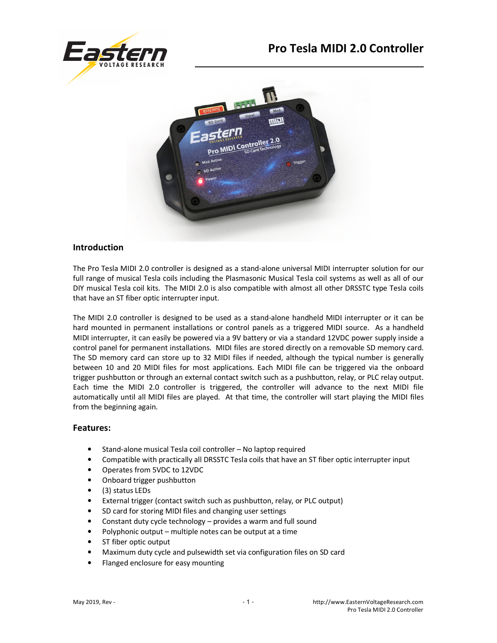



## **Introduction**

The Pro Tesla MIDI 2.0 controller is designed as a stand-alone universal MIDI interrupter solution for our full range of musical Tesla coils including the Plasmasonic Musical Tesla coil systems as well as all of our DIY musical Tesla coil kits. The MIDI 2.0 is also compatible with almost all other DRSSTC type Tesla coils that have an ST fiber optic interrupter input.

The MIDI 2.0 controller is designed to be used as a stand-alone handheld MIDI interrupter or it can be hard mounted in permanent installations or control panels as a triggered MIDI source. As a handheld MIDI interrupter, it can easily be powered via a 9V battery or via a standard 12VDC power supply inside a control panel for permanent installations. MIDI files are stored directly on a removable SD memory card. The SD memory card can store up to 32 MIDI files if needed, although the typical number is generally between 10 and 20 MIDI files for most applications. Each MIDI file can be triggered via the onboard trigger pushbutton or through an external contact switch such as a pushbutton, relay, or PLC relay output. Each time the MIDI 2.0 controller is triggered, the controller will advance to the next MIDI file automatically until all MIDI files are played. At that time, the controller will start playing the MIDI files from the beginning again.

#### **Features:**

- Stand-alone musical Tesla coil controller No laptop required
- Compatible with practically all DRSSTC Tesla coils that have an ST fiber optic interrupter input
- Operates from 5VDC to 12VDC
- Onboard trigger pushbutton
- (3) status LEDs
- External trigger (contact switch such as pushbutton, relay, or PLC output)
- SD card for storing MIDI files and changing user settings
- Constant duty cycle technology provides a warm and full sound
- Polyphonic output multiple notes can be output at a time
- ST fiber optic output
- Maximum duty cycle and pulsewidth set via configuration files on SD card
- Flanged enclosure for easy mounting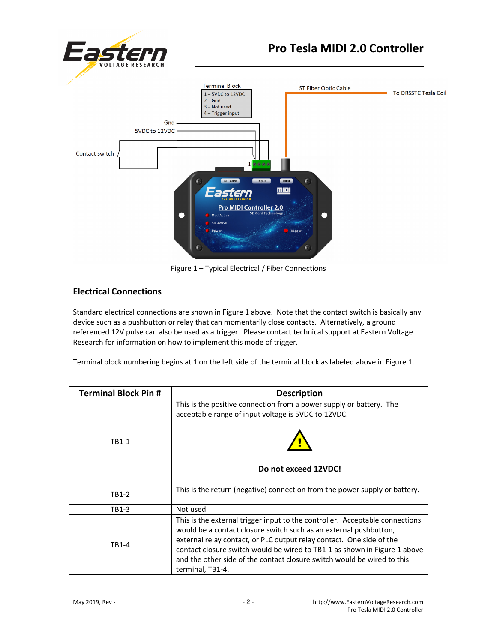

Figure 1 – Typical Electrical / Fiber Connections

# **Electrical Connections**

Standard electrical connections are shown in Figure 1 above. Note that the contact switch is basically any device such as a pushbutton or relay that can momentarily close contacts. Alternatively, a ground referenced 12V pulse can also be used as a trigger. Please contact technical support at Eastern Voltage Research for information on how to implement this mode of trigger.

Terminal block numbering begins at 1 on the left side of the terminal block as labeled above in Figure 1.

| <b>Terminal Block Pin #</b> | <b>Description</b>                                                                                                                                                                                                                                                                                                                                                                                    |
|-----------------------------|-------------------------------------------------------------------------------------------------------------------------------------------------------------------------------------------------------------------------------------------------------------------------------------------------------------------------------------------------------------------------------------------------------|
| TB1-1                       | This is the positive connection from a power supply or battery. The<br>acceptable range of input voltage is 5VDC to 12VDC.                                                                                                                                                                                                                                                                            |
|                             |                                                                                                                                                                                                                                                                                                                                                                                                       |
|                             | Do not exceed 12VDC!                                                                                                                                                                                                                                                                                                                                                                                  |
| TB1-2                       | This is the return (negative) connection from the power supply or battery.                                                                                                                                                                                                                                                                                                                            |
| TB1-3                       | Not used                                                                                                                                                                                                                                                                                                                                                                                              |
| TB1-4                       | This is the external trigger input to the controller. Acceptable connections<br>would be a contact closure switch such as an external pushbutton,<br>external relay contact, or PLC output relay contact. One side of the<br>contact closure switch would be wired to TB1-1 as shown in Figure 1 above<br>and the other side of the contact closure switch would be wired to this<br>terminal, TB1-4. |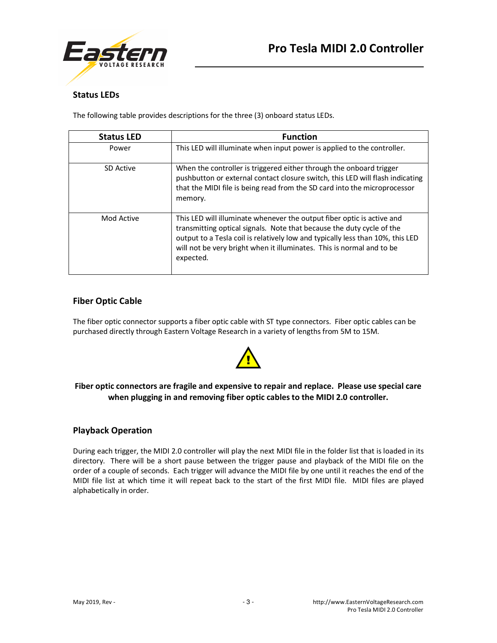



## **Status LEDs**

The following table provides descriptions for the three (3) onboard status LEDs.

| <b>Status LED</b> | <b>Function</b>                                                                                                                                                                                                                                                                                                         |
|-------------------|-------------------------------------------------------------------------------------------------------------------------------------------------------------------------------------------------------------------------------------------------------------------------------------------------------------------------|
| Power             | This LED will illuminate when input power is applied to the controller.                                                                                                                                                                                                                                                 |
| SD Active         | When the controller is triggered either through the onboard trigger<br>pushbutton or external contact closure switch, this LED will flash indicating<br>that the MIDI file is being read from the SD card into the microprocessor<br>memory.                                                                            |
| Mod Active        | This LED will illuminate whenever the output fiber optic is active and<br>transmitting optical signals. Note that because the duty cycle of the<br>output to a Tesla coil is relatively low and typically less than 10%, this LED<br>will not be very bright when it illuminates. This is normal and to be<br>expected. |

#### **Fiber Optic Cable**

The fiber optic connector supports a fiber optic cable with ST type connectors. Fiber optic cables can be purchased directly through Eastern Voltage Research in a variety of lengths from 5M to 15M.



## **Fiber optic connectors are fragile and expensive to repair and replace. Please use special care when plugging in and removing fiber optic cables to the MIDI 2.0 controller.**

## **Playback Operation**

During each trigger, the MIDI 2.0 controller will play the next MIDI file in the folder list that is loaded in its directory. There will be a short pause between the trigger pause and playback of the MIDI file on the order of a couple of seconds. Each trigger will advance the MIDI file by one until it reaches the end of the MIDI file list at which time it will repeat back to the start of the first MIDI file. MIDI files are played alphabetically in order.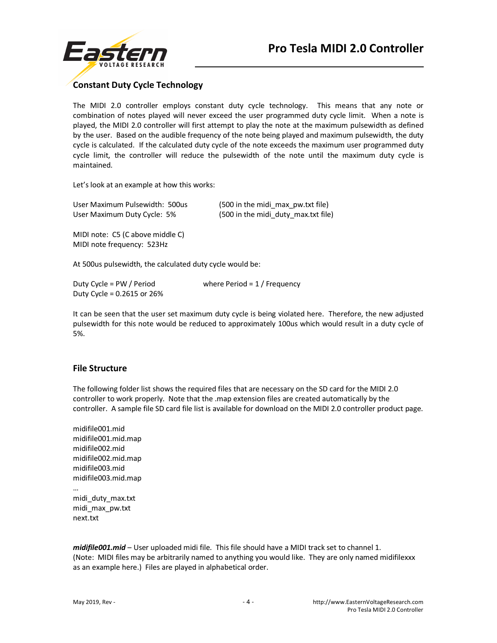

# **Constant Duty Cycle Technology**

The MIDI 2.0 controller employs constant duty cycle technology. This means that any note or combination of notes played will never exceed the user programmed duty cycle limit. When a note is played, the MIDI 2.0 controller will first attempt to play the note at the maximum pulsewidth as defined by the user. Based on the audible frequency of the note being played and maximum pulsewidth, the duty cycle is calculated. If the calculated duty cycle of the note exceeds the maximum user programmed duty cycle limit, the controller will reduce the pulsewidth of the note until the maximum duty cycle is maintained.

Let's look at an example at how this works:

| User Maximum Pulsewidth: 500us | (500 in the midi max pw.txt file)   |
|--------------------------------|-------------------------------------|
| User Maximum Duty Cycle: 5%    | (500 in the midi duty max.txt file) |

MIDI note: C5 (C above middle C) MIDI note frequency: 523Hz

At 500us pulsewidth, the calculated duty cycle would be:

| Duty Cycle = PW / Period     | where Period = $1/$ Frequency |
|------------------------------|-------------------------------|
| Duty Cycle = $0.2615$ or 26% |                               |

It can be seen that the user set maximum duty cycle is being violated here. Therefore, the new adjusted pulsewidth for this note would be reduced to approximately 100us which would result in a duty cycle of 5%.

#### **File Structure**

The following folder list shows the required files that are necessary on the SD card for the MIDI 2.0 controller to work properly. Note that the .map extension files are created automatically by the controller. A sample file SD card file list is available for download on the MIDI 2.0 controller product page.

midifile001.mid midifile001.mid.map midifile002.mid midifile002.mid.map midifile003.mid midifile003.mid.map … midi\_duty\_max.txt midi\_max\_pw.txt

*midifile001.mid* – User uploaded midi file. This file should have a MIDI track set to channel 1. (Note: MIDI files may be arbitrarily named to anything you would like. They are only named midifilexxx as an example here.) Files are played in alphabetical order.

next.txt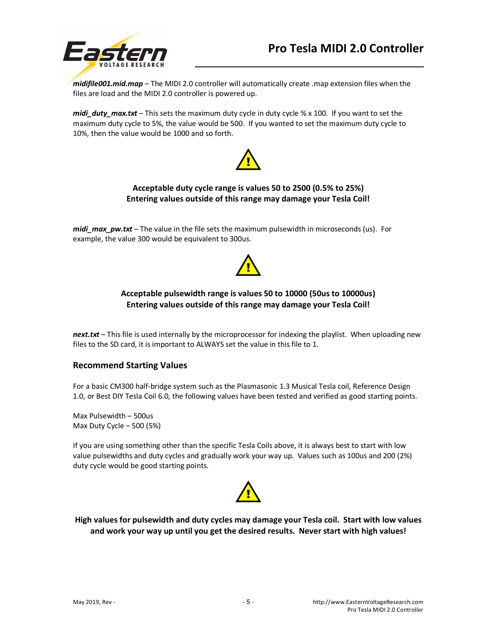



*midifile001.mid.map* – The MIDI 2.0 controller will automatically create .map extension files when the files are load and the MIDI 2.0 controller is powered up.

*midi\_duty\_max.txt* – This sets the maximum duty cycle in duty cycle % x 100. If you want to set the maximum duty cycle to 5%, the value would be 500. If you wanted to set the maximum duty cycle to 10%, then the value would be 1000 and so forth.



### **Acceptable duty cycle range is values 50 to 2500 (0.5% to 25%) Entering values outside of this range may damage your Tesla Coil!**

*midi\_max\_pw.txt* – The value in the file sets the maximum pulsewidth in microseconds (us). For example, the value 300 would be equivalent to 300us.



#### **Acceptable pulsewidth range is values 50 to 10000 (50us to 10000us) Entering values outside of this range may damage your Tesla Coil!**

*next.txt* – This file is used internally by the microprocessor for indexing the playlist. When uploading new files to the SD card, it is important to ALWAYS set the value in this file to 1.

#### **Recommend Starting Values**

For a basic CM300 half-bridge system such as the Plasmasonic 1.3 Musical Tesla coil, Reference Design 1.0, or Best DIY Tesla Coil 6.0, the following values have been tested and verified as good starting points.

Max Pulsewidth – 500us Max Duty Cycle – 500 (5%)

If you are using something other than the specific Tesla Coils above, it is always best to start with low value pulsewidths and duty cycles and gradually work your way up. Values such as 100us and 200 (2%) duty cycle would be good starting points.



**High values for pulsewidth and duty cycles may damage your Tesla coil. Start with low values and work your way up until you get the desired results. Never start with high values!**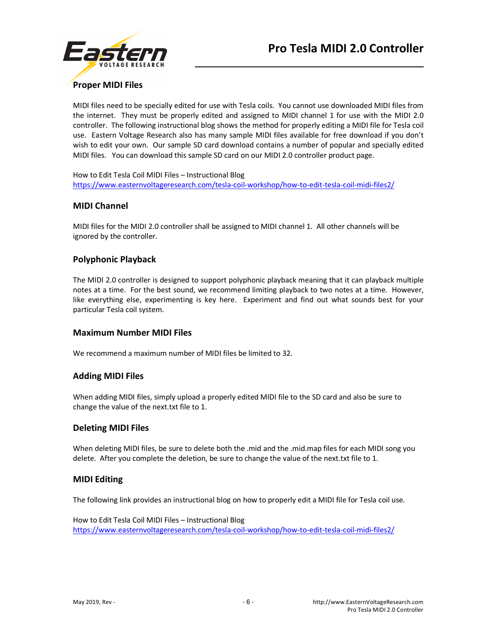

# **Proper MIDI Files**

MIDI files need to be specially edited for use with Tesla coils. You cannot use downloaded MIDI files from the internet. They must be properly edited and assigned to MIDI channel 1 for use with the MIDI 2.0 controller. The following instructional blog shows the method for properly editing a MIDI file for Tesla coil use. Eastern Voltage Research also has many sample MIDI files available for free download if you don't wish to edit your own. Our sample SD card download contains a number of popular and specially edited MIDI files. You can download this sample SD card on our MIDI 2.0 controller product page.

How to Edit Tesla Coil MIDI Files – Instructional Blog https://www.easternvoltageresearch.com/tesla-coil-workshop/how-to-edit-tesla-coil-midi-files2/

#### **MIDI Channel**

MIDI files for the MIDI 2.0 controller shall be assigned to MIDI channel 1. All other channels will be ignored by the controller.

#### **Polyphonic Playback**

The MIDI 2.0 controller is designed to support polyphonic playback meaning that it can playback multiple notes at a time. For the best sound, we recommend limiting playback to two notes at a time. However, like everything else, experimenting is key here. Experiment and find out what sounds best for your particular Tesla coil system.

#### **Maximum Number MIDI Files**

We recommend a maximum number of MIDI files be limited to 32.

#### **Adding MIDI Files**

When adding MIDI files, simply upload a properly edited MIDI file to the SD card and also be sure to change the value of the next.txt file to 1.

#### **Deleting MIDI Files**

When deleting MIDI files, be sure to delete both the .mid and the .mid.map files for each MIDI song you delete. After you complete the deletion, be sure to change the value of the next.txt file to 1.

#### **MIDI Editing**

The following link provides an instructional blog on how to properly edit a MIDI file for Tesla coil use.

How to Edit Tesla Coil MIDI Files – Instructional Blog https://www.easternvoltageresearch.com/tesla-coil-workshop/how-to-edit-tesla-coil-midi-files2/